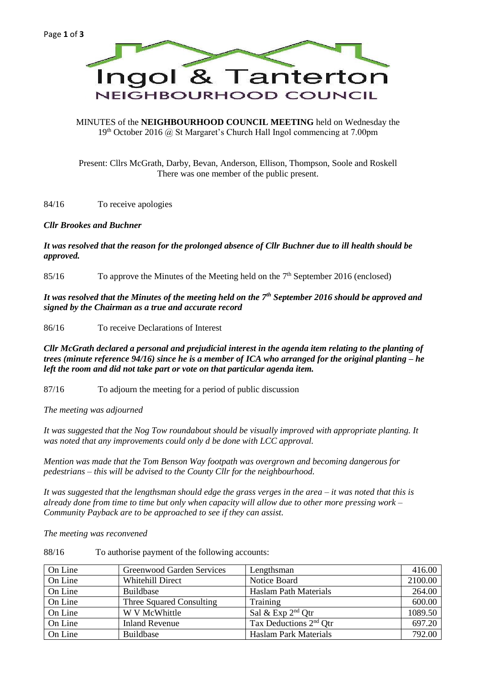

### MINUTES of the **NEIGHBOURHOOD COUNCIL MEETING** held on Wednesday the  $19<sup>th</sup> October 2016 (a) St Margaret's Church Hall Ingol commencing at 7.00pm$

Present: Cllrs McGrath, Darby, Bevan, Anderson, Ellison, Thompson, Soole and Roskell There was one member of the public present.

84/16 To receive apologies

# *Cllr Brookes and Buchner*

# *It was resolved that the reason for the prolonged absence of Cllr Buchner due to ill health should be approved.*

85/16 To approve the Minutes of the Meeting held on the 7<sup>th</sup> September 2016 (enclosed)

*It was resolved that the Minutes of the meeting held on the 7th September 2016 should be approved and signed by the Chairman as a true and accurate record*

86/16 To receive Declarations of Interest

*Cllr McGrath declared a personal and prejudicial interest in the agenda item relating to the planting of trees (minute reference 94/16) since he is a member of ICA who arranged for the original planting – he left the room and did not take part or vote on that particular agenda item.*

87/16 To adjourn the meeting for a period of public discussion

*The meeting was adjourned*

*It was suggested that the Nog Tow roundabout should be visually improved with appropriate planting. It was noted that any improvements could only d be done with LCC approval.*

*Mention was made that the Tom Benson Way footpath was overgrown and becoming dangerous for pedestrians – this will be advised to the County Cllr for the neighbourhood.*

*It was suggested that the lengthsman should edge the grass verges in the area – it was noted that this is already done from time to time but only when capacity will allow due to other more pressing work – Community Payback are to be approached to see if they can assist.*

*The meeting was reconvened*

88/16 To authorise payment of the following accounts:

| On Line | Greenwood Garden Services | Lengthsman                         | 416.00  |
|---------|---------------------------|------------------------------------|---------|
| On Line | <b>Whitehill Direct</b>   | Notice Board                       | 2100.00 |
| On Line | <b>Buildbase</b>          | <b>Haslam Path Materials</b>       | 264.00  |
| On Line | Three Squared Consulting  | Training                           | 600.00  |
| On Line | W V McWhittle             | Sal & Exp $2^{nd}$ Otr             | 1089.50 |
| On Line | <b>Inland Revenue</b>     | Tax Deductions 2 <sup>nd</sup> Otr | 697.20  |
| On Line | Buildbase                 | <b>Haslam Park Materials</b>       | 792.00  |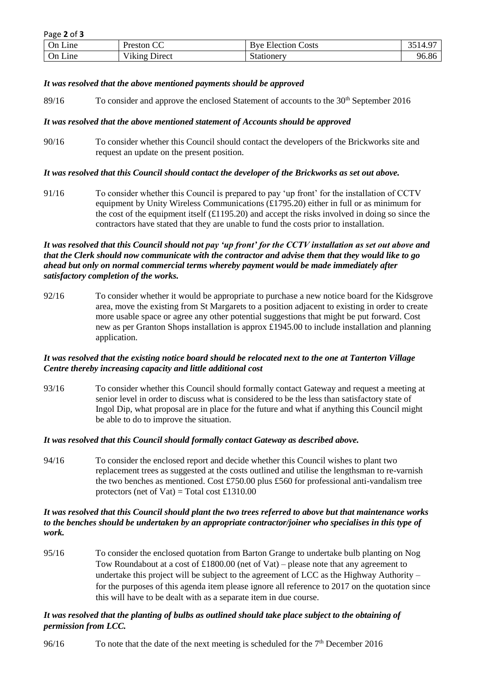| - ت<br>On Line | $\sim$<br>Preston<br>w             | $\overline{\phantom{a}}$<br>Election Costs<br>$R^{1/2}$ | $\sim$ $\sim$<br>4<br>─⊤ • ৴ |
|----------------|------------------------------------|---------------------------------------------------------|------------------------------|
| Line<br>∪n     | <b>T 7 * 1</b><br>Viking<br>Direct | stationery                                              | 96.86                        |

### *It was resolved that the above mentioned payments should be approved*

89/16 To consider and approve the enclosed Statement of accounts to the 30<sup>th</sup> September 2016

# *It was resolved that the above mentioned statement of Accounts should be approved*

90/16 To consider whether this Council should contact the developers of the Brickworks site and request an update on the present position.

# *It was resolved that this Council should contact the developer of the Brickworks as set out above.*

91/16 To consider whether this Council is prepared to pay 'up front' for the installation of CCTV equipment by Unity Wireless Communications (£1795.20) either in full or as minimum for the cost of the equipment itself  $(£1195.20)$  and accept the risks involved in doing so since the contractors have stated that they are unable to fund the costs prior to installation.

# *It was resolved that this Council should not pay 'up front' for the CCTV installation as set out above and that the Clerk should now communicate with the contractor and advise them that they would like to go ahead but only on normal commercial terms whereby payment would be made immediately after satisfactory completion of the works.*

92/16 To consider whether it would be appropriate to purchase a new notice board for the Kidsgrove area, move the existing from St Margarets to a position adjacent to existing in order to create more usable space or agree any other potential suggestions that might be put forward. Cost new as per Granton Shops installation is approx £1945.00 to include installation and planning application.

# *It was resolved that the existing notice board should be relocated next to the one at Tanterton Village Centre thereby increasing capacity and little additional cost*

93/16 To consider whether this Council should formally contact Gateway and request a meeting at senior level in order to discuss what is considered to be the less than satisfactory state of Ingol Dip, what proposal are in place for the future and what if anything this Council might be able to do to improve the situation.

### *It was resolved that this Council should formally contact Gateway as described above.*

94/16 To consider the enclosed report and decide whether this Council wishes to plant two replacement trees as suggested at the costs outlined and utilise the lengthsman to re-varnish the two benches as mentioned. Cost £750.00 plus £560 for professional anti-vandalism tree protectors (net of Vat) = Total cost £1310.00

### *It was resolved that this Council should plant the two trees referred to above but that maintenance works to the benches should be undertaken by an appropriate contractor/joiner who specialises in this type of work.*

95/16 To consider the enclosed quotation from Barton Grange to undertake bulb planting on Nog Tow Roundabout at a cost of £1800.00 (net of Vat) – please note that any agreement to undertake this project will be subject to the agreement of LCC as the Highway Authority – for the purposes of this agenda item please ignore all reference to 2017 on the quotation since this will have to be dealt with as a separate item in due course.

# *It was resolved that the planting of bulbs as outlined should take place subject to the obtaining of permission from LCC.*

96/16 To note that the date of the next meeting is scheduled for the  $7<sup>th</sup>$  December 2016